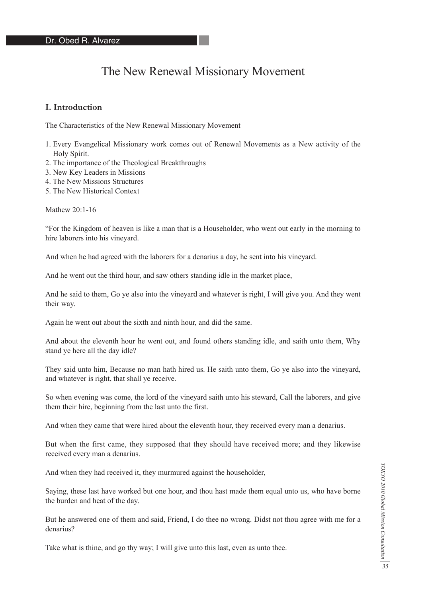# The New Renewal Missionary Movement

## **I. Introduction**

The Characteristics of the New Renewal Missionary Movement

- 1. Every Evangelical Missionary work comes out of Renewal Movements as a New activity of the Holy Spirit.
- 2. The importance of the Theological Breakthroughs
- 3. New Key Leaders in Missions
- 4. The New Missions Structures
- 5. The New Historical Context

Mathew 20:1-16

"For the Kingdom of heaven is like a man that is a Householder, who went out early in the morning to hire laborers into his vineyard.

And when he had agreed with the laborers for a denarius a day, he sent into his vineyard.

And he went out the third hour, and saw others standing idle in the market place,

And he said to them, Go ye also into the vineyard and whatever is right, I will give you. And they went their way.

Again he went out about the sixth and ninth hour, and did the same.

And about the eleventh hour he went out, and found others standing idle, and saith unto them, Why stand ye here all the day idle?

They said unto him, Because no man hath hired us. He saith unto them, Go ye also into the vineyard, and whatever is right, that shall ye receive.

So when evening was come, the lord of the vineyard saith unto his steward, Call the laborers, and give them their hire, beginning from the last unto the first.

And when they came that were hired about the eleventh hour, they received every man a denarius.

But when the first came, they supposed that they should have received more; and they likewise received every man a denarius.

And when they had received it, they murmured against the householder,

Saying, these last have worked but one hour, and thou hast made them equal unto us, who have borne the burden and heat of the day.

But he answered one of them and said, Friend, I do thee no wrong. Didst not thou agree with me for a denarius?

Take what is thine, and go thy way; I will give unto this last, even as unto thee.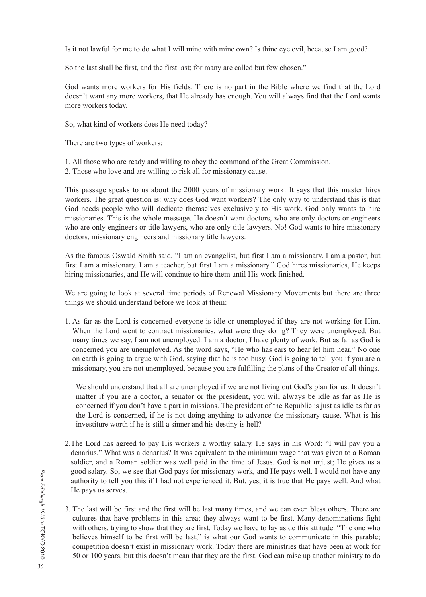Is it not lawful for me to do what I will mine with mine own? Is thine eye evil, because I am good?

So the last shall be first, and the first last; for many are called but few chosen."

God wants more workers for His fields. There is no part in the Bible where we find that the Lord doesn't want any more workers, that He already has enough. You will always find that the Lord wants more workers today.

So, what kind of workers does He need today?

There are two types of workers:

- 1. All those who are ready and willing to obey the command of the Great Commission.
- 2. Those who love and are willing to risk all for missionary cause.

This passage speaks to us about the 2000 years of missionary work. It says that this master hires workers. The great question is: why does God want workers? The only way to understand this is that God needs people who will dedicate themselves exclusively to His work. God only wants to hire missionaries. This is the whole message. He doesn't want doctors, who are only doctors or engineers who are only engineers or title lawyers, who are only title lawyers. No! God wants to hire missionary doctors, missionary engineers and missionary title lawyers.

As the famous Oswald Smith said, "I am an evangelist, but first I am a missionary. I am a pastor, but first I am a missionary. I am a teacher, but first I am a missionary." God hires missionaries, He keeps hiring missionaries, and He will continue to hire them until His work finished.

We are going to look at several time periods of Renewal Missionary Movements but there are three things we should understand before we look at them:

1. As far as the Lord is concerned everyone is idle or unemployed if they are not working for Him. When the Lord went to contract missionaries, what were they doing? They were unemployed. But many times we say, I am not unemployed. I am a doctor; I have plenty of work. But as far as God is concerned you are unemployed. As the word says, "He who has ears to hear let him hear." No one on earth is going to argue with God, saying that he is too busy. God is going to tell you if you are a missionary, you are not unemployed, because you are fulfilling the plans of the Creator of all things.

 We should understand that all are unemployed if we are not living out God's plan for us. It doesn't matter if you are a doctor, a senator or the president, you will always be idle as far as He is concerned if you don't have a part in missions. The president of the Republic is just as idle as far as the Lord is concerned, if he is not doing anything to advance the missionary cause. What is his investiture worth if he is still a sinner and his destiny is hell?

- 2.The Lord has agreed to pay His workers a worthy salary. He says in his Word: "I will pay you a denarius." What was a denarius? It was equivalent to the minimum wage that was given to a Roman soldier, and a Roman soldier was well paid in the time of Jesus. God is not unjust; He gives us a good salary. So, we see that God pays for missionary work, and He pays well. I would not have any authority to tell you this if I had not experienced it. But, yes, it is true that He pays well. And what He pays us serves.
- 3. The last will be first and the first will be last many times, and we can even bless others. There are cultures that have problems in this area; they always want to be first. Many denominations fight with others, trying to show that they are first. Today we have to lay aside this attitude. "The one who believes himself to be first will be last," is what our God wants to communicate in this parable; competition doesn't exist in missionary work. Today there are ministries that have been at work for 50 or 100 years, but this doesn't mean that they are the first. God can raise up another ministry to do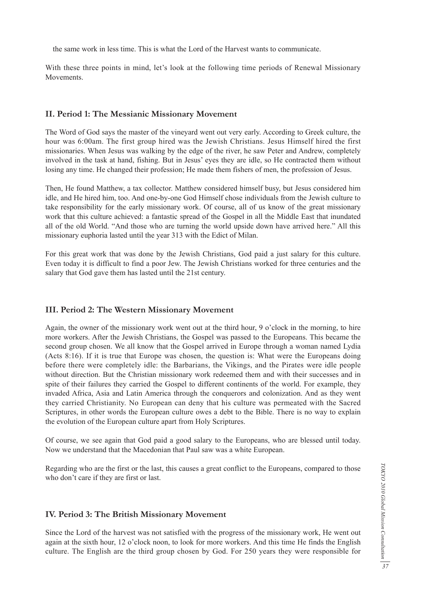the same work in less time. This is what the Lord of the Harvest wants to communicate.

With these three points in mind, let's look at the following time periods of Renewal Missionary Movements.

### **II. Period 1: The Messianic Missionary Movement**

The Word of God says the master of the vineyard went out very early. According to Greek culture, the hour was 6:00am. The first group hired was the Jewish Christians. Jesus Himself hired the first missionaries. When Jesus was walking by the edge of the river, he saw Peter and Andrew, completely involved in the task at hand, fishing. But in Jesus' eyes they are idle, so He contracted them without losing any time. He changed their profession; He made them fishers of men, the profession of Jesus.

Then, He found Matthew, a tax collector. Matthew considered himself busy, but Jesus considered him idle, and He hired him, too. And one-by-one God Himself chose individuals from the Jewish culture to take responsibility for the early missionary work. Of course, all of us know of the great missionary work that this culture achieved: a fantastic spread of the Gospel in all the Middle East that inundated all of the old World. "And those who are turning the world upside down have arrived here." All this missionary euphoria lasted until the year 313 with the Edict of Milan.

For this great work that was done by the Jewish Christians, God paid a just salary for this culture. Even today it is difficult to find a poor Jew. The Jewish Christians worked for three centuries and the salary that God gave them has lasted until the 21st century.

#### **III. Period 2: The Western Missionary Movement**

Again, the owner of the missionary work went out at the third hour, 9 o'clock in the morning, to hire more workers. After the Jewish Christians, the Gospel was passed to the Europeans. This became the second group chosen. We all know that the Gospel arrived in Europe through a woman named Lydia (Acts 8:16). If it is true that Europe was chosen, the question is: What were the Europeans doing before there were completely idle: the Barbarians, the Vikings, and the Pirates were idle people without direction. But the Christian missionary work redeemed them and with their successes and in spite of their failures they carried the Gospel to different continents of the world. For example, they invaded Africa, Asia and Latin America through the conquerors and colonization. And as they went they carried Christianity. No European can deny that his culture was permeated with the Sacred Scriptures, in other words the European culture owes a debt to the Bible. There is no way to explain the evolution of the European culture apart from Holy Scriptures.

Of course, we see again that God paid a good salary to the Europeans, who are blessed until today. Now we understand that the Macedonian that Paul saw was a white European.

Regarding who are the first or the last, this causes a great conflict to the Europeans, compared to those who don't care if they are first or last.

### **IV. Period 3: The British Missionary Movement**

Since the Lord of the harvest was not satisfied with the progress of the missionary work, He went out again at the sixth hour, 12 o'clock noon, to look for more workers. And this time He finds the English culture. The English are the third group chosen by God. For 250 years they were responsible for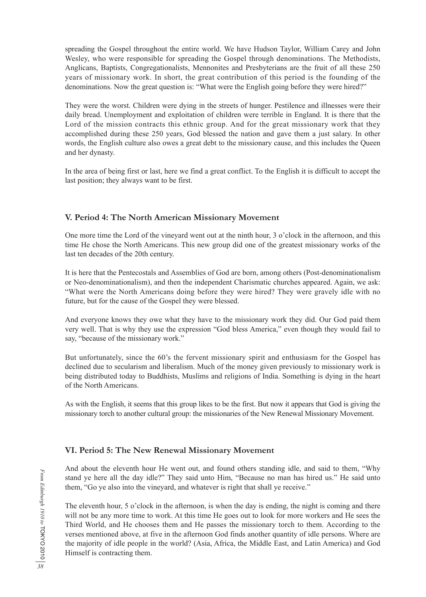spreading the Gospel throughout the entire world. We have Hudson Taylor, William Carey and John Wesley, who were responsible for spreading the Gospel through denominations. The Methodists, Anglicans, Baptists, Congregationalists, Mennonites and Presbyterians are the fruit of all these 250 years of missionary work. In short, the great contribution of this period is the founding of the denominations. Now the great question is: "What were the English going before they were hired?"

They were the worst. Children were dying in the streets of hunger. Pestilence and illnesses were their daily bread. Unemployment and exploitation of children were terrible in England. It is there that the Lord of the mission contracts this ethnic group. And for the great missionary work that they accomplished during these 250 years, God blessed the nation and gave them a just salary. In other words, the English culture also owes a great debt to the missionary cause, and this includes the Queen and her dynasty.

In the area of being first or last, here we find a great conflict. To the English it is difficult to accept the last position; they always want to be first.

## **V. Period 4: The North American Missionary Movement**

One more time the Lord of the vineyard went out at the ninth hour, 3 o'clock in the afternoon, and this time He chose the North Americans. This new group did one of the greatest missionary works of the last ten decades of the 20th century.

It is here that the Pentecostals and Assemblies of God are born, among others (Post-denominationalism or Neo-denominationalism), and then the independent Charismatic churches appeared. Again, we ask: "What were the North Americans doing before they were hired? They were gravely idle with no future, but for the cause of the Gospel they were blessed.

And everyone knows they owe what they have to the missionary work they did. Our God paid them very well. That is why they use the expression "God bless America," even though they would fail to say, "because of the missionary work."

But unfortunately, since the 60's the fervent missionary spirit and enthusiasm for the Gospel has declined due to secularism and liberalism. Much of the money given previously to missionary work is being distributed today to Buddhists, Muslims and religions of India. Something is dying in the heart of the North Americans.

As with the English, it seems that this group likes to be the first. But now it appears that God is giving the missionary torch to another cultural group: the missionaries of the New Renewal Missionary Movement.

## **VI. Period 5: The New Renewal Missionary Movement**

And about the eleventh hour He went out, and found others standing idle, and said to them, "Why stand ye here all the day idle?" They said unto Him, "Because no man has hired us." He said unto them, "Go ye also into the vineyard, and whatever is right that shall ye receive."

The eleventh hour, 5 o'clock in the afternoon, is when the day is ending, the night is coming and there will not be any more time to work. At this time He goes out to look for more workers and He sees the Third World, and He chooses them and He passes the missionary torch to them. According to the verses mentioned above, at five in the afternoon God finds another quantity of idle persons. Where are the majority of idle people in the world? (Asia, Africa, the Middle East, and Latin America) and God Himself is contracting them.